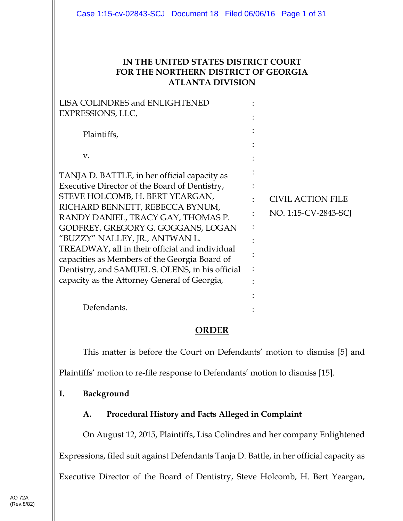#### **IN THE UNITED STATES DISTRICT COURT FOR THE NORTHERN DISTRICT OF GEORGIA ATLANTA DIVISION**

| <b>LISA COLINDRES and ENLIGHTENED</b>                                                                                                                                                                                                                                                                                                                                                                                                                                                   |                                                  |
|-----------------------------------------------------------------------------------------------------------------------------------------------------------------------------------------------------------------------------------------------------------------------------------------------------------------------------------------------------------------------------------------------------------------------------------------------------------------------------------------|--------------------------------------------------|
| EXPRESSIONS, LLC,                                                                                                                                                                                                                                                                                                                                                                                                                                                                       |                                                  |
| Plaintiffs,                                                                                                                                                                                                                                                                                                                                                                                                                                                                             |                                                  |
| V.                                                                                                                                                                                                                                                                                                                                                                                                                                                                                      |                                                  |
| TANJA D. BATTLE, in her official capacity as<br>Executive Director of the Board of Dentistry,<br>STEVE HOLCOMB, H. BERT YEARGAN,<br>RICHARD BENNETT, REBECCA BYNUM,<br>RANDY DANIEL, TRACY GAY, THOMAS P.<br>GODFREY, GREGORY G. GOGGANS, LOGAN<br>"BUZZY" NALLEY, JR., ANTWAN L.<br>TREADWAY, all in their official and individual<br>capacities as Members of the Georgia Board of<br>Dentistry, and SAMUEL S. OLENS, in his official<br>capacity as the Attorney General of Georgia, | <b>CIVIL ACTION FILE</b><br>NO. 1:15-CV-2843-SCJ |
| Defendants.                                                                                                                                                                                                                                                                                                                                                                                                                                                                             |                                                  |

## **ORDER**

This matter is before the Court on Defendants' motion to dismiss [5] and Plaintiffs' motion to re-file response to Defendants' motion to dismiss [15].

## **I. Background**

## **A. Procedural History and Facts Alleged in Complaint**

On August 12, 2015, Plaintiffs, Lisa Colindres and her company Enlightened Expressions, filed suit against Defendants Tanja D. Battle, in her official capacity as Executive Director of the Board of Dentistry, Steve Holcomb, H. Bert Yeargan,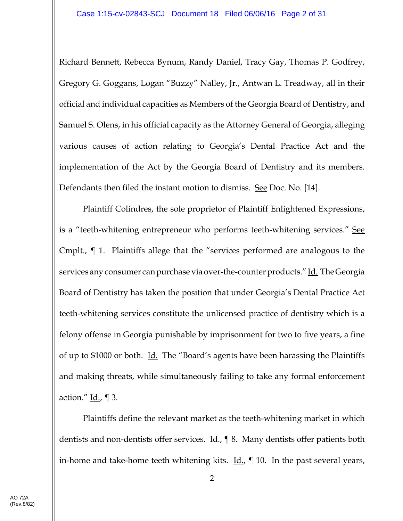Richard Bennett, Rebecca Bynum, Randy Daniel, Tracy Gay, Thomas P. Godfrey, Gregory G. Goggans, Logan "Buzzy" Nalley, Jr., Antwan L. Treadway, all in their official and individual capacities as Members of the Georgia Board of Dentistry, and Samuel S. Olens, in his official capacity as the Attorney General of Georgia, alleging various causes of action relating to Georgia's Dental Practice Act and the implementation of the Act by the Georgia Board of Dentistry and its members. Defendants then filed the instant motion to dismiss. See Doc. No. [14].

Plaintiff Colindres, the sole proprietor of Plaintiff Enlightened Expressions, is a "teeth-whitening entrepreneur who performs teeth-whitening services." See Cmplt., ¶ 1. Plaintiffs allege that the "services performed are analogous to the services any consumer can purchase via over-the-counter products." Id. The Georgia Board of Dentistry has taken the position that under Georgia's Dental Practice Act teeth-whitening services constitute the unlicensed practice of dentistry which is a felony offense in Georgia punishable by imprisonment for two to five years, a fine of up to \$1000 or both. <u>Id.</u> The "Board's agents have been harassing the Plaintiffs and making threats, while simultaneously failing to take any formal enforcement action."  $\underline{Id}$ .,  $\P$  3.

Plaintiffs define the relevant market as the teeth-whitening market in which dentists and non-dentists offer services.  $\underline{Id}$ ,  $\P$  8. Many dentists offer patients both in-home and take-home teeth whitening kits.  $\underline{\text{Id}}$ ,  $\P$  10. In the past several years,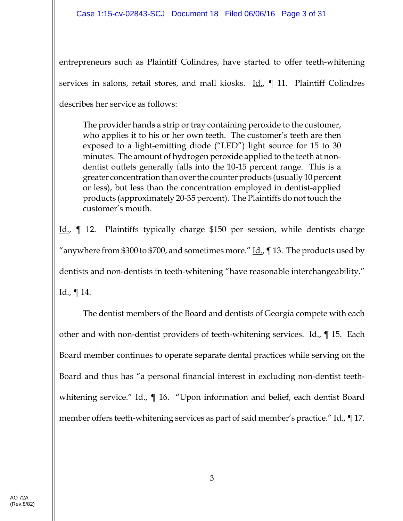entrepreneurs such as Plaintiff Colindres, have started to offer teeth-whitening services in salons, retail stores, and mall kiosks. Id., ¶ 11. Plaintiff Colindres describes her service as follows:

The provider hands a strip or tray containing peroxide to the customer, who applies it to his or her own teeth. The customer's teeth are then exposed to a light-emitting diode ("LED") light source for 15 to 30 minutes. The amount of hydrogen peroxide applied to the teeth at nondentist outlets generally falls into the 10-15 percent range. This is a greater concentration than over the counter products (usually 10 percent or less), but less than the concentration employed in dentist-applied products (approximately 20-35 percent). The Plaintiffs do not touch the customer's mouth.

Id., ¶ 12. Plaintiffs typically charge \$150 per session, while dentists charge "anywhere from \$300 to \$700, and sometimes more." Id., ¶ 13. The products used by dentists and non-dentists in teeth-whitening "have reasonable interchangeability."

 $Id.$ , ¶ 14.

The dentist members of the Board and dentists of Georgia compete with each other and with non-dentist providers of teeth-whitening services. Id., 15. Each Board member continues to operate separate dental practices while serving on the Board and thus has "a personal financial interest in excluding non-dentist teethwhitening service."  $\underline{Id}$ ,  $\P$  16. "Upon information and belief, each dentist Board member offers teeth-whitening services as part of said member's practice." Id., 17.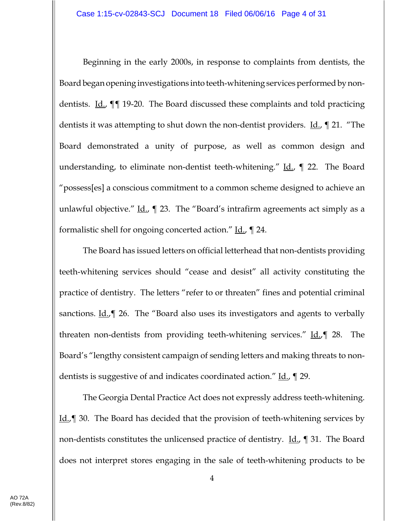Beginning in the early 2000s, in response to complaints from dentists, the Board began opening investigations into teeth-whitening services performed by nondentists. <u>Id.</u>, **[14.41]** 19-20. The Board discussed these complaints and told practicing dentists it was attempting to shut down the non-dentist providers. <u>Id.</u>, 1 21. "The Board demonstrated a unity of purpose, as well as common design and understanding, to eliminate non-dentist teeth-whitening."  $\text{Id.}$ ,  $\parallel$  22. The Board "possess[es] a conscious commitment to a common scheme designed to achieve an unlawful objective." <u>Id.</u>,  $\parallel$  23. The "Board's intrafirm agreements act simply as a formalistic shell for ongoing concerted action." Id., 1 24.

The Board has issued letters on official letterhead that non-dentists providing teeth-whitening services should "cease and desist" all activity constituting the practice of dentistry. The letters "refer to or threaten" fines and potential criminal sanctions.  $\underline{Id}$ ,  $\P$  26. The "Board also uses its investigators and agents to verbally threaten non-dentists from providing teeth-whitening services." Id., [9138.] The Board's "lengthy consistent campaign of sending letters and making threats to nondentists is suggestive of and indicates coordinated action." <u>Id.</u>,  $\parallel$  29.

The Georgia Dental Practice Act does not expressly address teeth-whitening. Id., 30. The Board has decided that the provision of teeth-whitening services by non-dentists constitutes the unlicensed practice of dentistry. <u>Id.</u>, ¶ 31. The Board does not interpret stores engaging in the sale of teeth-whitening products to be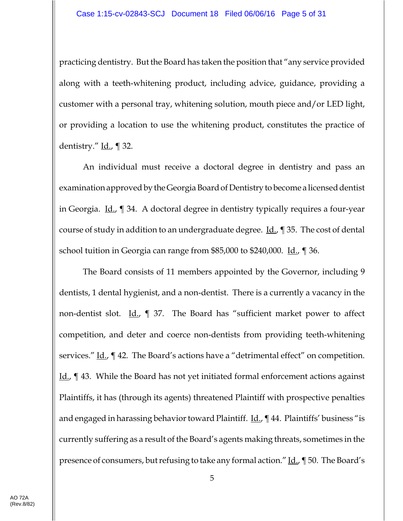practicing dentistry. But the Board has taken the position that "any service provided along with a teeth-whitening product, including advice, guidance, providing a customer with a personal tray, whitening solution, mouth piece and/or LED light, or providing a location to use the whitening product, constitutes the practice of dentistry."  $\underline{Id}$ ., ¶ 32.

An individual must receive a doctoral degree in dentistry and pass an examination approved by the Georgia Board of Dentistry to become a licensed dentist in Georgia. Id., ¶ 34. A doctoral degree in dentistry typically requires a four-year course of study in addition to an undergraduate degree. Id., ¶ 35. The cost of dental school tuition in Georgia can range from \$85,000 to \$240,000. Id., 1 36.

The Board consists of 11 members appointed by the Governor, including 9 dentists, 1 dental hygienist, and a non-dentist. There is a currently a vacancy in the non-dentist slot.  $\underline{Id}$ ,  $\P$  37. The Board has "sufficient market power to affect competition, and deter and coerce non-dentists from providing teeth-whitening services." Id.,  $\P$  42. The Board's actions have a "detrimental effect" on competition. Id., ¶ 43. While the Board has not yet initiated formal enforcement actions against Plaintiffs, it has (through its agents) threatened Plaintiff with prospective penalties and engaged in harassing behavior toward Plaintiff.  $\underline{\text{Id}}$ .,  $\P$  44. Plaintiffs' business "is currently suffering as a result of the Board's agents making threats, sometimes in the presence of consumers, but refusing to take any formal action." Id., ¶ 50. The Board's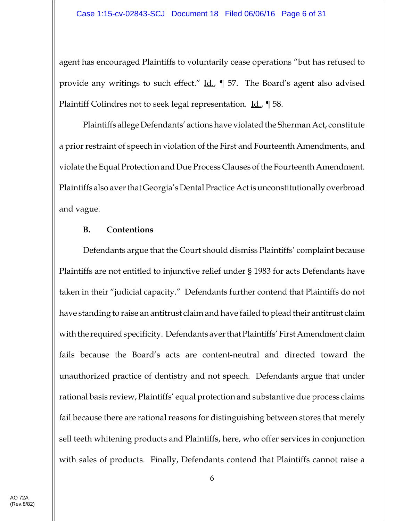agent has encouraged Plaintiffs to voluntarily cease operations "but has refused to provide any writings to such effect."  $\underline{\text{Id}}$ ,  $\P$  57. The Board's agent also advised Plaintiff Colindres not to seek legal representation. Id., 158.

Plaintiffs allege Defendants' actions have violated the Sherman Act, constitute a prior restraint of speech in violation of the First and Fourteenth Amendments, and violate the Equal Protection and Due Process Clauses of the Fourteenth Amendment. Plaintiffs also aver that Georgia's Dental Practice Act is unconstitutionally overbroad and vague.

#### **B. Contentions**

Defendants argue that the Court should dismiss Plaintiffs' complaint because Plaintiffs are not entitled to injunctive relief under § 1983 for acts Defendants have taken in their "judicial capacity." Defendants further contend that Plaintiffs do not have standing to raise an antitrust claim and have failed to plead their antitrust claim with the required specificity. Defendants aver that Plaintiffs' First Amendment claim fails because the Board's acts are content-neutral and directed toward the unauthorized practice of dentistry and not speech. Defendants argue that under rational basis review, Plaintiffs' equal protection and substantive due process claims fail because there are rational reasons for distinguishing between stores that merely sell teeth whitening products and Plaintiffs, here, who offer services in conjunction with sales of products. Finally, Defendants contend that Plaintiffs cannot raise a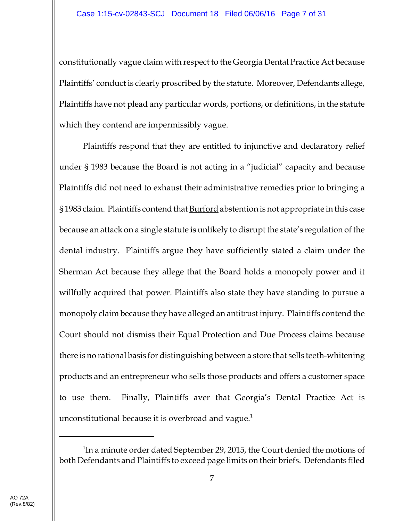constitutionally vague claim with respect to the Georgia Dental Practice Act because Plaintiffs' conduct is clearly proscribed by the statute. Moreover, Defendants allege, Plaintiffs have not plead any particular words, portions, or definitions, in the statute which they contend are impermissibly vague.

Plaintiffs respond that they are entitled to injunctive and declaratory relief under § 1983 because the Board is not acting in a "judicial" capacity and because Plaintiffs did not need to exhaust their administrative remedies prior to bringing a § 1983 claim. Plaintiffs contend that **Burford** abstention is not appropriate in this case because an attack on a single statute is unlikely to disrupt the state's regulation of the dental industry. Plaintiffs argue they have sufficiently stated a claim under the Sherman Act because they allege that the Board holds a monopoly power and it willfully acquired that power. Plaintiffs also state they have standing to pursue a monopoly claim because they have alleged an antitrust injury. Plaintiffs contend the Court should not dismiss their Equal Protection and Due Process claims because there is no rational basis for distinguishing between a store that sells teeth-whitening products and an entrepreneur who sells those products and offers a customer space to use them. Finally, Plaintiffs aver that Georgia's Dental Practice Act is unconstitutional because it is overbroad and vague. $<sup>1</sup>$ </sup>

<sup>&</sup>lt;sup>1</sup>In a minute order dated September 29, 2015, the Court denied the motions of both Defendants and Plaintiffs to exceed page limits on their briefs. Defendants filed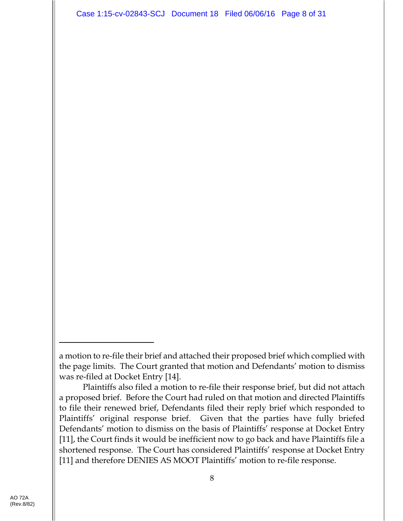Case 1:15-cv-02843-SCJ Document 18 Filed 06/06/16 Page 8 of 31

Plaintiffs also filed a motion to re-file their response brief, but did not attach a proposed brief. Before the Court had ruled on that motion and directed Plaintiffs to file their renewed brief, Defendants filed their reply brief which responded to Plaintiffs' original response brief. Given that the parties have fully briefed Defendants' motion to dismiss on the basis of Plaintiffs' response at Docket Entry [11], the Court finds it would be inefficient now to go back and have Plaintiffs file a shortened response. The Court has considered Plaintiffs' response at Docket Entry [11] and therefore DENIES AS MOOT Plaintiffs' motion to re-file response.

a motion to re-file their brief and attached their proposed brief which complied with the page limits. The Court granted that motion and Defendants' motion to dismiss was re-filed at Docket Entry [14].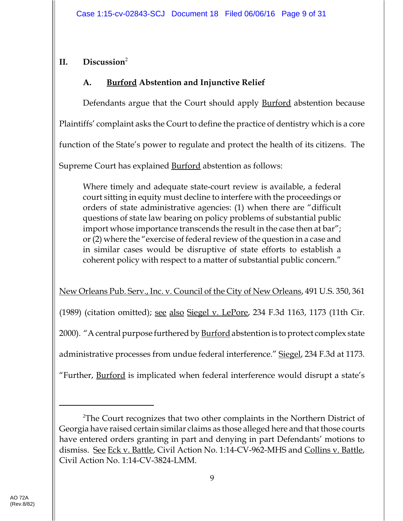# **II. Discussion**<sup>2</sup>

# **A. Burford Abstention and Injunctive Relief**

Defendants argue that the Court should apply **Burford** abstention because

Plaintiffs' complaint asks the Court to define the practice of dentistry which is a core

function of the State's power to regulate and protect the health of its citizens. The

Supreme Court has explained **Burford** abstention as follows:

Where timely and adequate state-court review is available, a federal court sitting in equity must decline to interfere with the proceedings or orders of state administrative agencies: (1) when there are "difficult questions of state law bearing on policy problems of substantial public import whose importance transcends the result in the case then at bar"; or (2) where the "exercise of federal review of the question in a case and in similar cases would be disruptive of state efforts to establish a coherent policy with respect to a matter of substantial public concern."

New Orleans Pub. Serv., Inc. v. Council of the City of New Orleans, 491 U.S. 350, 361  $(1989)$  (citation omitted); <u>see also Siegel v. LePore</u>, 234 F.3d 1163, 1173 (11th Cir. 2000). "A central purpose furthered by **Burford** abstention is to protect complex state administrative processes from undue federal interference." Siegel, 234 F.3d at 1173. "Further, **Burford** is implicated when federal interference would disrupt a state's

<sup>&</sup>lt;sup>2</sup>The Court recognizes that two other complaints in the Northern District of Georgia have raised certain similar claims as those alleged here and that those courts have entered orders granting in part and denying in part Defendants' motions to dismiss. See Eck v. Battle, Civil Action No. 1:14-CV-962-MHS and Collins v. Battle, Civil Action No. 1:14-CV-3824-LMM.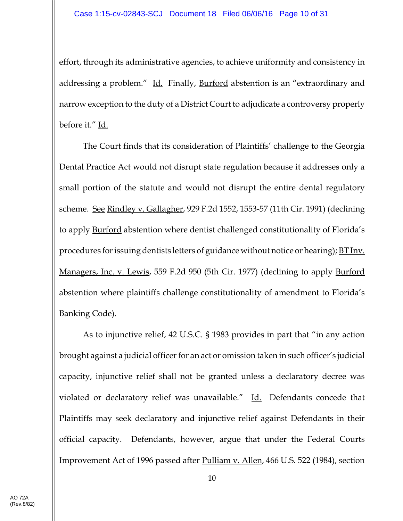effort, through its administrative agencies, to achieve uniformity and consistency in addressing a problem." Id. Finally, Burford abstention is an "extraordinary and narrow exception to the duty of a District Court to adjudicate a controversy properly before it." Id.

The Court finds that its consideration of Plaintiffs' challenge to the Georgia Dental Practice Act would not disrupt state regulation because it addresses only a small portion of the statute and would not disrupt the entire dental regulatory scheme. See Rindley v. Gallagher, 929 F.2d 1552, 1553-57 (11th Cir. 1991) (declining to apply **Burford** abstention where dentist challenged constitutionality of Florida's procedures for issuing dentists letters of guidance without notice or hearing); BT Inv. Managers, Inc. v. Lewis, 559 F.2d 950 (5th Cir. 1977) (declining to apply Burford abstention where plaintiffs challenge constitutionality of amendment to Florida's Banking Code).

As to injunctive relief, 42 U.S.C. § 1983 provides in part that "in any action brought against a judicial officer for an act or omission taken in such officer's judicial capacity, injunctive relief shall not be granted unless a declaratory decree was violated or declaratory relief was unavailable." Id. Defendants concede that Plaintiffs may seek declaratory and injunctive relief against Defendants in their official capacity. Defendants, however, argue that under the Federal Courts Improvement Act of 1996 passed after Pulliam v. Allen, 466 U.S. 522 (1984), section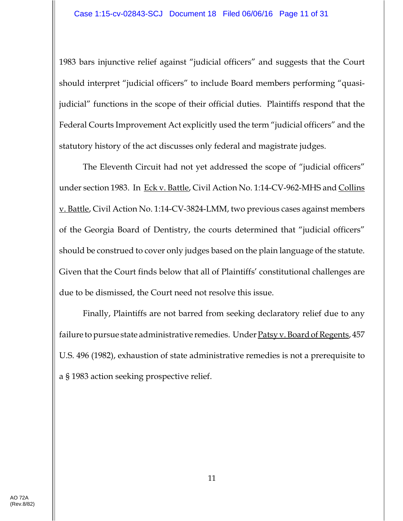1983 bars injunctive relief against "judicial officers" and suggests that the Court should interpret "judicial officers" to include Board members performing "quasijudicial" functions in the scope of their official duties. Plaintiffs respond that the Federal Courts Improvement Act explicitly used the term "judicial officers" and the statutory history of the act discusses only federal and magistrate judges.

The Eleventh Circuit had not yet addressed the scope of "judicial officers" under section 1983. In Eck v. Battle, Civil Action No. 1:14-CV-962-MHS and Collins v. Battle, Civil Action No. 1:14-CV-3824-LMM, two previous cases against members of the Georgia Board of Dentistry, the courts determined that "judicial officers" should be construed to cover only judges based on the plain language of the statute. Given that the Court finds below that all of Plaintiffs' constitutional challenges are due to be dismissed, the Court need not resolve this issue.

Finally, Plaintiffs are not barred from seeking declaratory relief due to any failure to pursue state administrative remedies. Under Patsy v. Board of Regents, 457 U.S. 496 (1982), exhaustion of state administrative remedies is not a prerequisite to a § 1983 action seeking prospective relief.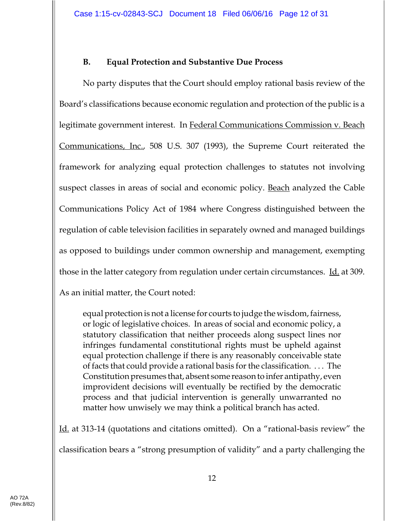# **B. Equal Protection and Substantive Due Process**

No party disputes that the Court should employ rational basis review of the Board's classifications because economic regulation and protection of the public is a legitimate government interest. In Federal Communications Commission v. Beach Communications, Inc., 508 U.S. 307 (1993), the Supreme Court reiterated the framework for analyzing equal protection challenges to statutes not involving suspect classes in areas of social and economic policy. Beach analyzed the Cable Communications Policy Act of 1984 where Congress distinguished between the regulation of cable television facilities in separately owned and managed buildings as opposed to buildings under common ownership and management, exempting those in the latter category from regulation under certain circumstances. Id. at 309. As an initial matter, the Court noted:

equal protection is not a license for courts to judge the wisdom, fairness, or logic of legislative choices. In areas of social and economic policy, a statutory classification that neither proceeds along suspect lines nor infringes fundamental constitutional rights must be upheld against equal protection challenge if there is any reasonably conceivable state of facts that could provide a rational basis for the classification. . . . The Constitution presumes that, absent some reason to infer antipathy, even improvident decisions will eventually be rectified by the democratic process and that judicial intervention is generally unwarranted no matter how unwisely we may think a political branch has acted.

Id. at 313-14 (quotations and citations omitted). On a "rational-basis review" the classification bears a "strong presumption of validity" and a party challenging the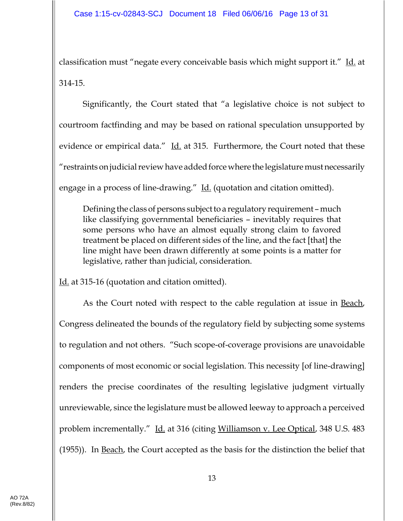classification must "negate every conceivable basis which might support it." Id. at 314-15.

Significantly, the Court stated that "a legislative choice is not subject to courtroom factfinding and may be based on rational speculation unsupported by evidence or empirical data."  $\underline{Id}$  at 315. Furthermore, the Court noted that these "restraints on judicial review have added force where the legislature must necessarily engage in a process of line-drawing." Id. (quotation and citation omitted).

Defining the class of persons subject to a regulatory requirement – much like classifying governmental beneficiaries – inevitably requires that some persons who have an almost equally strong claim to favored treatment be placed on different sides of the line, and the fact [that] the line might have been drawn differently at some points is a matter for legislative, rather than judicial, consideration.

Id. at 315-16 (quotation and citation omitted).

As the Court noted with respect to the cable regulation at issue in **Beach**, Congress delineated the bounds of the regulatory field by subjecting some systems to regulation and not others. "Such scope-of-coverage provisions are unavoidable components of most economic or social legislation. This necessity [of line-drawing] renders the precise coordinates of the resulting legislative judgment virtually unreviewable, since the legislature must be allowed leeway to approach a perceived problem incrementally." Id. at 316 (citing Williamson v. Lee Optical, 348 U.S. 483 (1955)). In Beach, the Court accepted as the basis for the distinction the belief that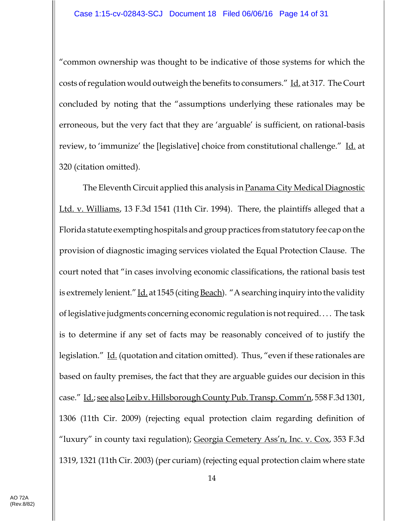"common ownership was thought to be indicative of those systems for which the costs of regulation would outweigh the benefits to consumers." Id. at 317. The Court concluded by noting that the "assumptions underlying these rationales may be erroneous, but the very fact that they are 'arguable' is sufficient, on rational-basis review, to 'immunize' the [legislative] choice from constitutional challenge." Id. at 320 (citation omitted).

The Eleventh Circuit applied this analysis in Panama City Medical Diagnostic Ltd. v. Williams, 13 F.3d 1541 (11th Cir. 1994). There, the plaintiffs alleged that a Florida statute exempting hospitals and group practices from statutory fee cap on the provision of diagnostic imaging services violated the Equal Protection Clause. The court noted that "in cases involving economic classifications, the rational basis test is extremely lenient." Id. at 1545 (citing Beach). "A searching inquiry into the validity of legislative judgments concerning economic regulation is not required. . . . The task is to determine if any set of facts may be reasonably conceived of to justify the legislation." Id. (quotation and citation omitted). Thus, "even if these rationales are based on faulty premises, the fact that they are arguable guides our decision in this case." Id.; see also Leib v. Hillsborough County Pub. Transp. Comm'n, 558 F.3d 1301, 1306 (11th Cir. 2009) (rejecting equal protection claim regarding definition of "luxury" in county taxi regulation); Georgia Cemetery Ass'n, Inc. v. Cox, 353 F.3d 1319, 1321 (11th Cir. 2003) (per curiam) (rejecting equal protection claim where state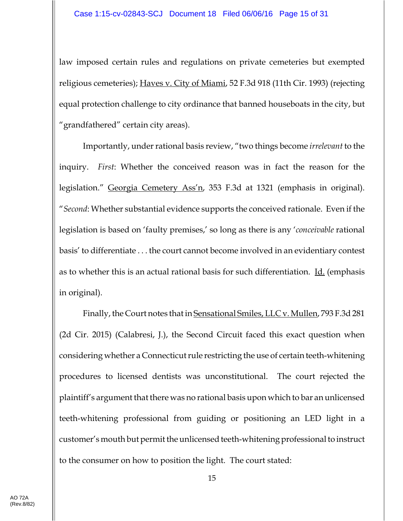law imposed certain rules and regulations on private cemeteries but exempted religious cemeteries); Haves v. City of Miami, 52 F.3d 918 (11th Cir. 1993) (rejecting equal protection challenge to city ordinance that banned houseboats in the city, but "grandfathered" certain city areas).

Importantly, under rational basis review, "two things become *irrelevant* to the inquiry. *First*: Whether the conceived reason was in fact the reason for the legislation." Georgia Cemetery Ass'n, 353 F.3d at 1321 (emphasis in original). "*Second*: Whether substantial evidence supports the conceived rationale. Even if the legislation is based on 'faulty premises,' so long as there is any '*conceivable* rational basis' to differentiate . . . the court cannot become involved in an evidentiary contest as to whether this is an actual rational basis for such differentiation. Id. (emphasis in original).

Finally, the Court notes that in Sensational Smiles, LLC v. Mullen, 793 F.3d 281 (2d Cir. 2015) (Calabresi, J.), the Second Circuit faced this exact question when considering whether a Connecticut rule restricting the use of certain teeth-whitening procedures to licensed dentists was unconstitutional. The court rejected the plaintiff's argument that there was no rational basis upon which to bar an unlicensed teeth-whitening professional from guiding or positioning an LED light in a customer's mouth but permit the unlicensed teeth-whitening professional to instruct to the consumer on how to position the light. The court stated: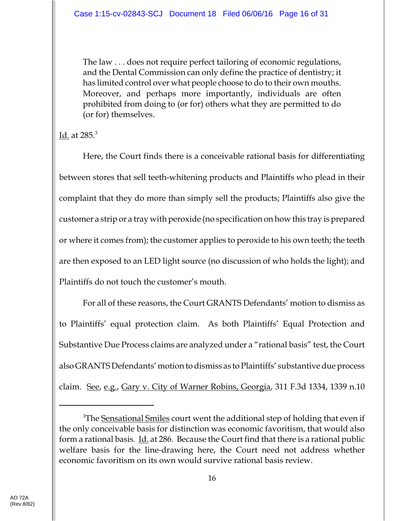The law . . . does not require perfect tailoring of economic regulations, and the Dental Commission can only define the practice of dentistry; it has limited control over what people choose to do to their own mouths. Moreover, and perhaps more importantly, individuals are often prohibited from doing to (or for) others what they are permitted to do (or for) themselves.

<u>Id.</u> at 285.<sup>3</sup>

Here, the Court finds there is a conceivable rational basis for differentiating between stores that sell teeth-whitening products and Plaintiffs who plead in their complaint that they do more than simply sell the products; Plaintiffs also give the customer a strip or a tray with peroxide (no specification on how this tray is prepared or where it comes from); the customer applies to peroxide to his own teeth; the teeth are then exposed to an LED light source (no discussion of who holds the light); and Plaintiffs do not touch the customer's mouth.

For all of these reasons, the Court GRANTS Defendants' motion to dismiss as to Plaintiffs' equal protection claim. As both Plaintiffs' Equal Protection and Substantive Due Process claims are analyzed under a "rational basis" test, the Court also GRANTS Defendants' motion to dismiss as to Plaintiffs' substantive due process claim. See, e.g., Gary v. City of Warner Robins, Georgia, 311 F.3d 1334, 1339 n.10

<sup>&</sup>lt;sup>3</sup>The <u>Sensational Smiles</u> court went the additional step of holding that even if the only conceivable basis for distinction was economic favoritism, that would also form a rational basis. <u>Id.</u> at 286. Because the Court find that there is a rational public welfare basis for the line-drawing here, the Court need not address whether economic favoritism on its own would survive rational basis review.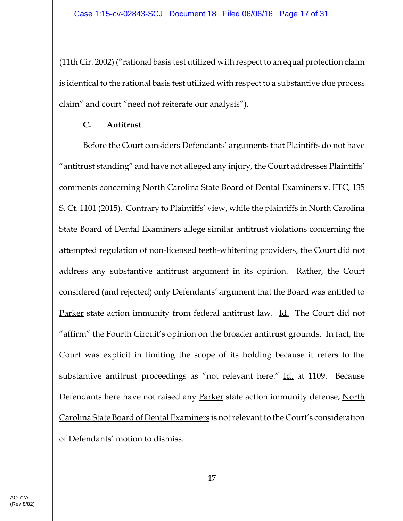(11th Cir. 2002) ("rational basis test utilized with respect to an equal protection claim is identical to the rational basis test utilized with respect to a substantive due process claim" and court "need not reiterate our analysis").

#### **C. Antitrust**

Before the Court considers Defendants' arguments that Plaintiffs do not have "antitrust standing" and have not alleged any injury, the Court addresses Plaintiffs' comments concerning North Carolina State Board of Dental Examiners v. FTC, 135 S. Ct. 1101 (2015). Contrary to Plaintiffs' view, while the plaintiffs in North Carolina State Board of Dental Examiners allege similar antitrust violations concerning the attempted regulation of non-licensed teeth-whitening providers, the Court did not address any substantive antitrust argument in its opinion. Rather, the Court considered (and rejected) only Defendants' argument that the Board was entitled to Parker state action immunity from federal antitrust law. Id. The Court did not "affirm" the Fourth Circuit's opinion on the broader antitrust grounds. In fact, the Court was explicit in limiting the scope of its holding because it refers to the substantive antitrust proceedings as "not relevant here." Id. at 1109. Because Defendants here have not raised any Parker state action immunity defense, North Carolina State Board of Dental Examiners is not relevant to the Court's consideration of Defendants' motion to dismiss.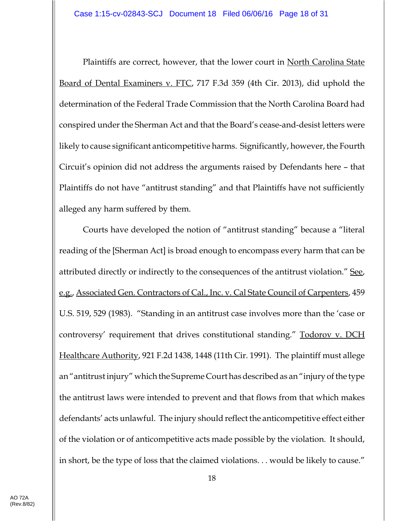Plaintiffs are correct, however, that the lower court in North Carolina State Board of Dental Examiners v. FTC, 717 F.3d 359 (4th Cir. 2013), did uphold the determination of the Federal Trade Commission that the North Carolina Board had conspired under the Sherman Act and that the Board's cease-and-desist letters were likely to cause significant anticompetitive harms. Significantly, however, the Fourth Circuit's opinion did not address the arguments raised by Defendants here – that Plaintiffs do not have "antitrust standing" and that Plaintiffs have not sufficiently alleged any harm suffered by them.

Courts have developed the notion of "antitrust standing" because a "literal reading of the [Sherman Act] is broad enough to encompass every harm that can be attributed directly or indirectly to the consequences of the antitrust violation." See, e.g., Associated Gen. Contractors of Cal., Inc. v. Cal State Council of Carpenters, 459 U.S. 519, 529 (1983). "Standing in an antitrust case involves more than the 'case or controversy' requirement that drives constitutional standing." **Todorov v. DCH** Healthcare Authority, 921 F.2d 1438, 1448 (11th Cir. 1991). The plaintiff must allege an "antitrust injury" which the Supreme Court has described as an "injury of the type the antitrust laws were intended to prevent and that flows from that which makes defendants' acts unlawful. The injury should reflect the anticompetitive effect either of the violation or of anticompetitive acts made possible by the violation. It should, in short, be the type of loss that the claimed violations. . . would be likely to cause."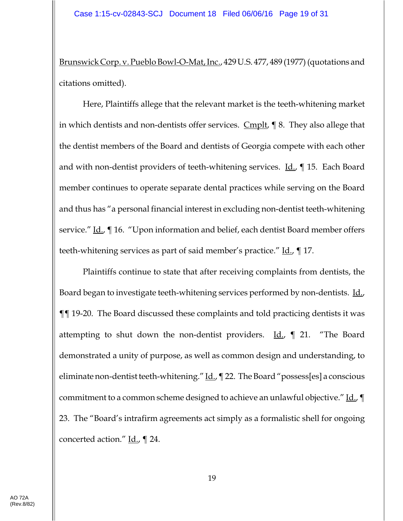Brunswick Corp. v. Pueblo Bowl-O-Mat, Inc., 429 U.S. 477, 489 (1977) (quotations and citations omitted).

Here, Plaintiffs allege that the relevant market is the teeth-whitening market in which dentists and non-dentists offer services. Cmplt, ¶ 8. They also allege that the dentist members of the Board and dentists of Georgia compete with each other and with non-dentist providers of teeth-whitening services.  $Id_{n} \parallel 15$ . Each Board member continues to operate separate dental practices while serving on the Board and thus has "a personal financial interest in excluding non-dentist teeth-whitening service." Id., ¶ 16. "Upon information and belief, each dentist Board member offers teeth-whitening services as part of said member's practice." Id., 17.

Plaintiffs continue to state that after receiving complaints from dentists, the Board began to investigate teeth-whitening services performed by non-dentists. Id., ¶¶ 19-20. The Board discussed these complaints and told practicing dentists it was attempting to shut down the non-dentist providers. Id.,  $\parallel$  21. "The Board demonstrated a unity of purpose, as well as common design and understanding, to eliminate non-dentist teeth-whitening."  $\underline{Id}$ ,  $\P$  22. The Board "possess[es] a conscious commitment to a common scheme designed to achieve an unlawful objective." Id.,  $\P$ 23. The "Board's intrafirm agreements act simply as a formalistic shell for ongoing concerted action."  $\underline{Id}$ .,  $\P$  24.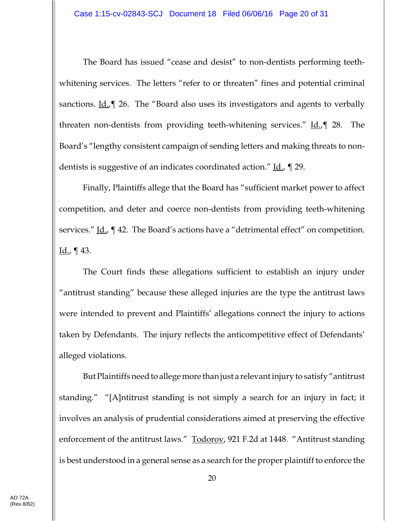The Board has issued "cease and desist" to non-dentists performing teethwhitening services. The letters "refer to or threaten" fines and potential criminal sanctions.  $\underline{Id}$ ,  $\P$  26. The "Board also uses its investigators and agents to verbally threaten non-dentists from providing teeth-whitening services." Id., 1 28. The Board's "lengthy consistent campaign of sending letters and making threats to nondentists is suggestive of an indicates coordinated action." Id., 19.

Finally, Plaintiffs allege that the Board has "sufficient market power to affect competition, and deter and coerce non-dentists from providing teeth-whitening services."  $\underline{Id}$ ,  $\P$  42. The Board's actions have a "detrimental effect" on competition.  $Id.$ , ¶ 43.

The Court finds these allegations sufficient to establish an injury under "antitrust standing" because these alleged injuries are the type the antitrust laws were intended to prevent and Plaintiffs' allegations connect the injury to actions taken by Defendants. The injury reflects the anticompetitive effect of Defendants' alleged violations.

But Plaintiffs need to allege more than just a relevant injury to satisfy "antitrust standing." "[A]ntitrust standing is not simply a search for an injury in fact; it involves an analysis of prudential considerations aimed at preserving the effective enforcement of the antitrust laws." Todorov, 921 F.2d at 1448. "Antitrust standing is best understood in a general sense as a search for the proper plaintiff to enforce the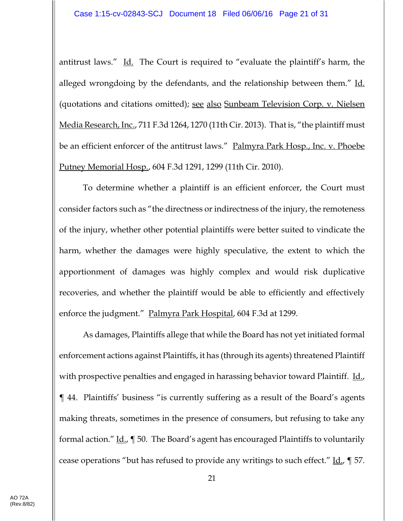antitrust laws." Id. The Court is required to "evaluate the plaintiff's harm, the alleged wrongdoing by the defendants, and the relationship between them." Id. (quotations and citations omitted); see also Sunbeam Television Corp. v. Nielsen Media Research, Inc., 711 F.3d 1264, 1270 (11th Cir. 2013). That is, "the plaintiff must be an efficient enforcer of the antitrust laws." Palmyra Park Hosp., Inc. v. Phoebe Putney Memorial Hosp., 604 F.3d 1291, 1299 (11th Cir. 2010).

To determine whether a plaintiff is an efficient enforcer, the Court must consider factors such as "the directness or indirectness of the injury, the remoteness of the injury, whether other potential plaintiffs were better suited to vindicate the harm, whether the damages were highly speculative, the extent to which the apportionment of damages was highly complex and would risk duplicative recoveries, and whether the plaintiff would be able to efficiently and effectively enforce the judgment." Palmyra Park Hospital, 604 F.3d at 1299.

As damages, Plaintiffs allege that while the Board has not yet initiated formal enforcement actions against Plaintiffs, it has (through its agents) threatened Plaintiff with prospective penalties and engaged in harassing behavior toward Plaintiff. Id., ¶ 44. Plaintiffs' business "is currently suffering as a result of the Board's agents making threats, sometimes in the presence of consumers, but refusing to take any formal action." Id., ¶ 50. The Board's agent has encouraged Plaintiffs to voluntarily cease operations "but has refused to provide any writings to such effect." Id., ¶ 57.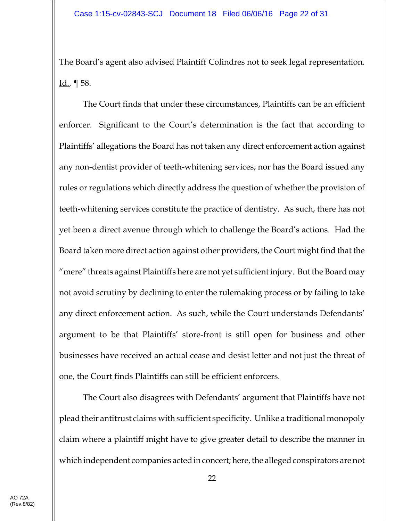The Board's agent also advised Plaintiff Colindres not to seek legal representation.  $Id.$ , ¶ 58.

The Court finds that under these circumstances, Plaintiffs can be an efficient enforcer. Significant to the Court's determination is the fact that according to Plaintiffs' allegations the Board has not taken any direct enforcement action against any non-dentist provider of teeth-whitening services; nor has the Board issued any rules or regulations which directly address the question of whether the provision of teeth-whitening services constitute the practice of dentistry. As such, there has not yet been a direct avenue through which to challenge the Board's actions. Had the Board taken more direct action against other providers, the Court might find that the "mere" threats against Plaintiffs here are not yet sufficient injury. But the Board may not avoid scrutiny by declining to enter the rulemaking process or by failing to take any direct enforcement action. As such, while the Court understands Defendants' argument to be that Plaintiffs' store-front is still open for business and other businesses have received an actual cease and desist letter and not just the threat of one, the Court finds Plaintiffs can still be efficient enforcers.

The Court also disagrees with Defendants' argument that Plaintiffs have not plead their antitrust claims with sufficient specificity. Unlike a traditional monopoly claim where a plaintiff might have to give greater detail to describe the manner in which independent companies acted in concert; here, the alleged conspirators are not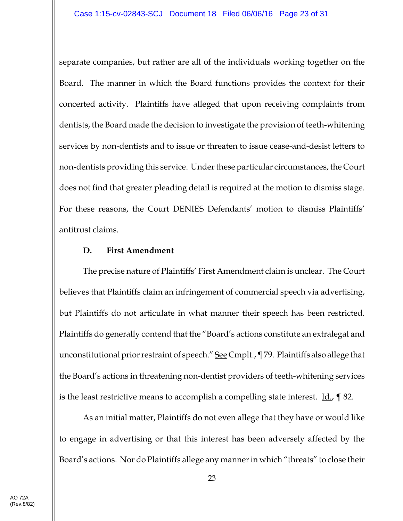separate companies, but rather are all of the individuals working together on the Board. The manner in which the Board functions provides the context for their concerted activity. Plaintiffs have alleged that upon receiving complaints from dentists, the Board made the decision to investigate the provision of teeth-whitening services by non-dentists and to issue or threaten to issue cease-and-desist letters to non-dentists providing this service. Under these particular circumstances, the Court does not find that greater pleading detail is required at the motion to dismiss stage. For these reasons, the Court DENIES Defendants' motion to dismiss Plaintiffs' antitrust claims.

#### **D. First Amendment**

The precise nature of Plaintiffs' First Amendment claim is unclear. The Court believes that Plaintiffs claim an infringement of commercial speech via advertising, but Plaintiffs do not articulate in what manner their speech has been restricted. Plaintiffs do generally contend that the "Board's actions constitute an extralegal and unconstitutional prior restraint of speech." See Cmplt., ¶ 79. Plaintiffs also allege that the Board's actions in threatening non-dentist providers of teeth-whitening services is the least restrictive means to accomplish a compelling state interest.  $\underline{Id}$ ,  $\P$  82.

As an initial matter, Plaintiffs do not even allege that they have or would like to engage in advertising or that this interest has been adversely affected by the Board's actions. Nor do Plaintiffs allege any manner in which "threats" to close their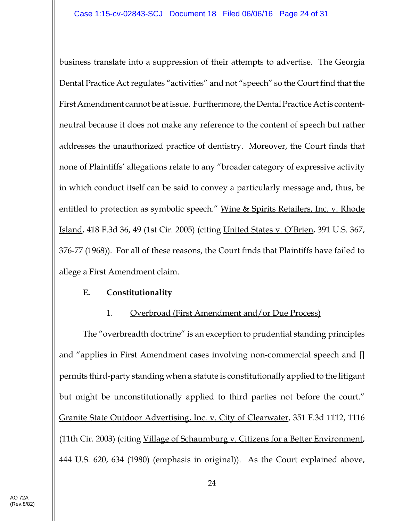business translate into a suppression of their attempts to advertise. The Georgia Dental Practice Act regulates "activities" and not "speech" so the Court find that the First Amendment cannot be at issue. Furthermore, the Dental Practice Act is contentneutral because it does not make any reference to the content of speech but rather addresses the unauthorized practice of dentistry. Moreover, the Court finds that none of Plaintiffs' allegations relate to any "broader category of expressive activity in which conduct itself can be said to convey a particularly message and, thus, be entitled to protection as symbolic speech." Wine & Spirits Retailers, Inc. v. Rhode Island, 418 F.3d 36, 49 (1st Cir. 2005) (citing United States v. O'Brien, 391 U.S. 367, 376-77 (1968)). For all of these reasons, the Court finds that Plaintiffs have failed to allege a First Amendment claim.

## **E. Constitutionality**

## 1. Overbroad (First Amendment and/or Due Process)

The "overbreadth doctrine" is an exception to prudential standing principles and "applies in First Amendment cases involving non-commercial speech and [] permits third-party standing when a statute is constitutionally applied to the litigant but might be unconstitutionally applied to third parties not before the court." Granite State Outdoor Advertising, Inc. v. City of Clearwater, 351 F.3d 1112, 1116 (11th Cir. 2003) (citing Village of Schaumburg v. Citizens for a Better Environment, 444 U.S. 620, 634 (1980) (emphasis in original)). As the Court explained above,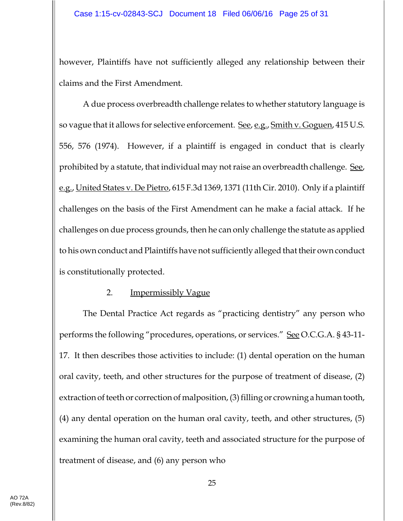however, Plaintiffs have not sufficiently alleged any relationship between their claims and the First Amendment.

A due process overbreadth challenge relates to whether statutory language is so vague that it allows for selective enforcement. See, e.g., Smith v. Goguen, 415 U.S. 556, 576 (1974). However, if a plaintiff is engaged in conduct that is clearly prohibited by a statute, that individual may not raise an overbreadth challenge. See, e.g., United States v. De Pietro, 615 F.3d 1369, 1371 (11th Cir. 2010). Only if a plaintiff challenges on the basis of the First Amendment can he make a facial attack. If he challenges on due process grounds, then he can only challenge the statute as applied to his own conduct and Plaintiffs have not sufficiently alleged that their own conduct is constitutionally protected.

#### 2. Impermissibly Vague

The Dental Practice Act regards as "practicing dentistry" any person who performs the following "procedures, operations, or services." See O.C.G.A. § 43-11- 17. It then describes those activities to include: (1) dental operation on the human oral cavity, teeth, and other structures for the purpose of treatment of disease, (2) extraction of teeth or correction of malposition, (3) filling or crowning a human tooth, (4) any dental operation on the human oral cavity, teeth, and other structures, (5) examining the human oral cavity, teeth and associated structure for the purpose of treatment of disease, and (6) any person who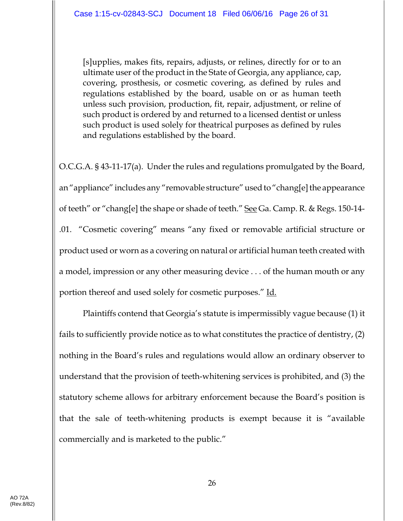[s]upplies, makes fits, repairs, adjusts, or relines, directly for or to an ultimate user of the product in the State of Georgia, any appliance, cap, covering, prosthesis, or cosmetic covering, as defined by rules and regulations established by the board, usable on or as human teeth unless such provision, production, fit, repair, adjustment, or reline of such product is ordered by and returned to a licensed dentist or unless such product is used solely for theatrical purposes as defined by rules and regulations established by the board.

O.C.G.A. § 43-11-17(a). Under the rules and regulations promulgated by the Board, an "appliance" includes any "removable structure" used to "chang[e] the appearance of teeth" or "chang[e] the shape or shade of teeth." See Ga. Camp. R. & Regs. 150-14- .01. "Cosmetic covering" means "any fixed or removable artificial structure or product used or worn as a covering on natural or artificial human teeth created with a model, impression or any other measuring device . . . of the human mouth or any portion thereof and used solely for cosmetic purposes." Id.

Plaintiffs contend that Georgia's statute is impermissibly vague because (1) it fails to sufficiently provide notice as to what constitutes the practice of dentistry, (2) nothing in the Board's rules and regulations would allow an ordinary observer to understand that the provision of teeth-whitening services is prohibited, and (3) the statutory scheme allows for arbitrary enforcement because the Board's position is that the sale of teeth-whitening products is exempt because it is "available commercially and is marketed to the public."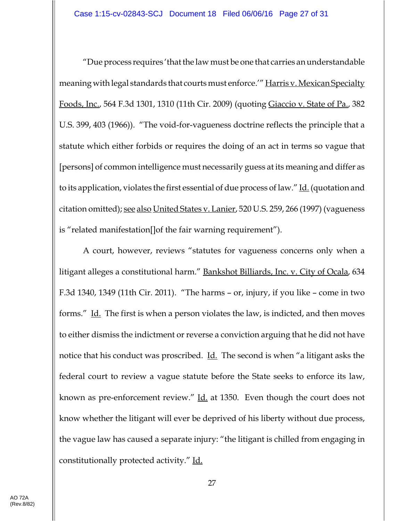"Due process requires 'that the law must be one that carries an understandable meaning with legal standards that courts must enforce.'" Harris v. Mexican Specialty Foods, Inc., 564 F.3d 1301, 1310 (11th Cir. 2009) (quoting Giaccio v. State of Pa., 382 U.S. 399, 403 (1966)). "The void-for-vagueness doctrine reflects the principle that a statute which either forbids or requires the doing of an act in terms so vague that [persons] of common intelligence must necessarily guess at its meaning and differ as to its application, violates the first essential of due process of law." Id. (quotation and citation omitted); <u>see also United States v. Lanier</u>, 520 U.S. 259, 266 (1997) (vagueness is "related manifestation[]of the fair warning requirement").

A court, however, reviews "statutes for vagueness concerns only when a litigant alleges a constitutional harm." Bankshot Billiards, Inc. v. City of Ocala, 634 F.3d 1340, 1349 (11th Cir. 2011). "The harms – or, injury, if you like – come in two forms." Id. The first is when a person violates the law, is indicted, and then moves to either dismiss the indictment or reverse a conviction arguing that he did not have notice that his conduct was proscribed. <u>Id.</u> The second is when "a litigant asks the federal court to review a vague statute before the State seeks to enforce its law, known as pre-enforcement review." Id. at 1350. Even though the court does not know whether the litigant will ever be deprived of his liberty without due process, the vague law has caused a separate injury: "the litigant is chilled from engaging in constitutionally protected activity." Id.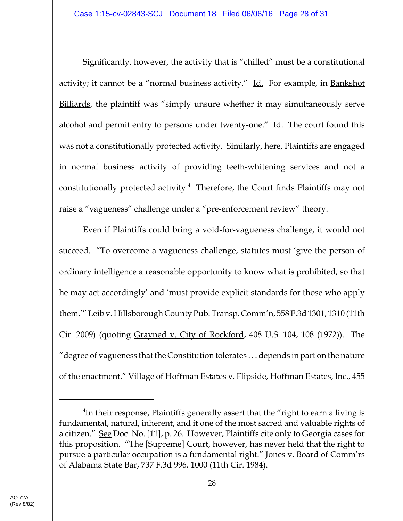Significantly, however, the activity that is "chilled" must be a constitutional activity; it cannot be a "normal business activity." Id. For example, in Bankshot Billiards, the plaintiff was "simply unsure whether it may simultaneously serve alcohol and permit entry to persons under twenty-one." Id. The court found this was not a constitutionally protected activity. Similarly, here, Plaintiffs are engaged in normal business activity of providing teeth-whitening services and not a constitutionally protected activity.<sup>4</sup> Therefore, the Court finds Plaintiffs may not raise a "vagueness" challenge under a "pre-enforcement review" theory.

Even if Plaintiffs could bring a void-for-vagueness challenge, it would not succeed. "To overcome a vagueness challenge, statutes must 'give the person of ordinary intelligence a reasonable opportunity to know what is prohibited, so that he may act accordingly' and 'must provide explicit standards for those who apply them.'" Leib v. Hillsborough County Pub. Transp. Comm'n, 558 F.3d 1301, 1310 (11th Cir. 2009) (quoting Grayned v. City of Rockford, 408 U.S. 104, 108 (1972)). The "degree of vagueness that the Constitution tolerates . . . depends in part on the nature of the enactment." Village of Hoffman Estates v. Flipside, Hoffman Estates, Inc., 455

<sup>4</sup> In their response, Plaintiffs generally assert that the "right to earn a living is fundamental, natural, inherent, and it one of the most sacred and valuable rights of a citizen." See Doc. No. [11], p. 26. However, Plaintiffs cite only to Georgia cases for this proposition. "The [Supreme] Court, however, has never held that the right to pursue a particular occupation is a fundamental right." Jones v. Board of Comm'rs of Alabama State Bar, 737 F.3d 996, 1000 (11th Cir. 1984).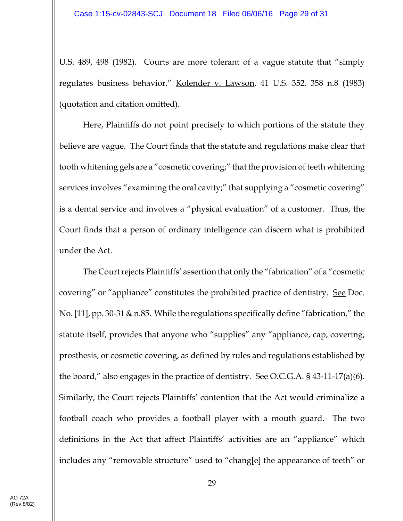U.S. 489, 498 (1982). Courts are more tolerant of a vague statute that "simply regulates business behavior." Kolender v. Lawson, 41 U.S. 352, 358 n.8 (1983) (quotation and citation omitted).

Here, Plaintiffs do not point precisely to which portions of the statute they believe are vague. The Court finds that the statute and regulations make clear that tooth whitening gels are a "cosmetic covering;" that the provision of teeth whitening services involves "examining the oral cavity;" that supplying a "cosmetic covering" is a dental service and involves a "physical evaluation" of a customer. Thus, the Court finds that a person of ordinary intelligence can discern what is prohibited under the Act.

The Court rejects Plaintiffs' assertion that only the "fabrication" of a "cosmetic covering" or "appliance" constitutes the prohibited practice of dentistry. See Doc. No. [11], pp. 30-31 & n.85. While the regulations specifically define "fabrication," the statute itself, provides that anyone who "supplies" any "appliance, cap, covering, prosthesis, or cosmetic covering, as defined by rules and regulations established by the board," also engages in the practice of dentistry. See O.C.G.A.  $\frac{1}{5}$  43-11-17(a)(6). Similarly, the Court rejects Plaintiffs' contention that the Act would criminalize a football coach who provides a football player with a mouth guard. The two definitions in the Act that affect Plaintiffs' activities are an "appliance" which includes any "removable structure" used to "chang[e] the appearance of teeth" or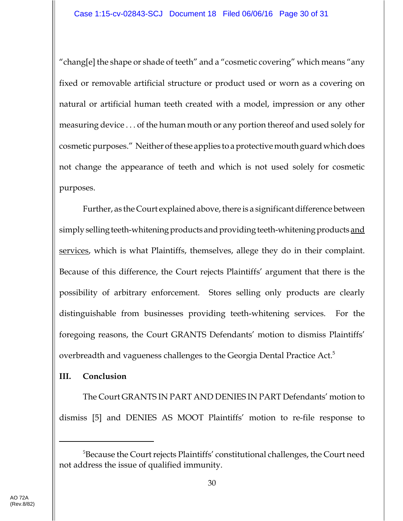"chang[e] the shape or shade of teeth" and a "cosmetic covering" which means "any fixed or removable artificial structure or product used or worn as a covering on natural or artificial human teeth created with a model, impression or any other measuring device . . . of the human mouth or any portion thereof and used solely for cosmetic purposes." Neither of these applies to a protective mouth guard which does not change the appearance of teeth and which is not used solely for cosmetic purposes.

Further, as the Court explained above, there is a significant difference between simply selling teeth-whitening products and providing teeth-whitening products and services, which is what Plaintiffs, themselves, allege they do in their complaint. Because of this difference, the Court rejects Plaintiffs' argument that there is the possibility of arbitrary enforcement. Stores selling only products are clearly distinguishable from businesses providing teeth-whitening services. For the foregoing reasons, the Court GRANTS Defendants' motion to dismiss Plaintiffs' overbreadth and vagueness challenges to the Georgia Dental Practice Act.<sup>5</sup>

## **III. Conclusion**

The Court GRANTS IN PART AND DENIES IN PART Defendants' motion to dismiss [5] and DENIES AS MOOT Plaintiffs' motion to re-file response to

<sup>&</sup>lt;sup>5</sup>Because the Court rejects Plaintiffs' constitutional challenges, the Court need not address the issue of qualified immunity.